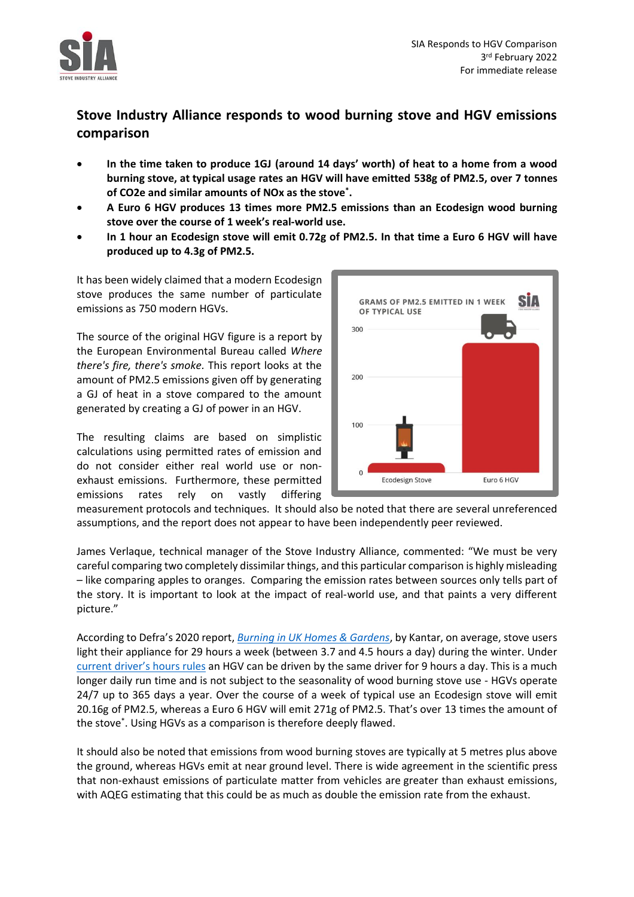

## **Stove Industry Alliance responds to wood burning stove and HGV emissions comparison**

- **In the time taken to produce 1GJ (around 14 days' worth) of heat to a home from a wood burning stove, at typical usage rates an HGV will have emitted 538g of PM2.5, over 7 tonnes of CO2e and similar amounts of NOx as the stove\* .**
- **A Euro 6 HGV produces 13 times more PM2.5 emissions than an Ecodesign wood burning stove over the course of 1 week's real-world use.**
- **In 1 hour an Ecodesign stove will emit 0.72g of PM2.5. In that time a Euro 6 HGV will have produced up to 4.3g of PM2.5.**

It has been widely claimed that a modern Ecodesign stove produces the same number of particulate emissions as 750 modern HGVs.

The source of the original HGV figure is a report by the European Environmental Bureau called *Where there's fire, there's smoke.* This report looks at the amount of PM2.5 emissions given off by generating a GJ of heat in a stove compared to the amount generated by creating a GJ of power in an HGV.

The resulting claims are based on simplistic calculations using permitted rates of emission and do not consider either real world use or nonexhaust emissions. Furthermore, these permitted emissions rates rely on vastly differing



measurement protocols and techniques. It should also be noted that there are several unreferenced assumptions, and the report does not appear to have been independently peer reviewed.

James Verlaque, technical manager of the Stove Industry Alliance, commented: "We must be very careful comparing two completely dissimilar things, and this particular comparison is highly misleading – like comparing apples to oranges. Comparing the emission rates between sources only tells part of the story. It is important to look at the impact of real-world use, and that paints a very different picture."

According to Defra's 2020 report, *[Burning in UK Homes & Gardens](http://sciencesearch.defra.gov.uk/Default.aspx?Menu=Menu&Module=More&Location=None&Completed=0&ProjectID=20159)*, by Kantar, on average, stove users light their appliance for 29 hours a week (between 3.7 and 4.5 hours a day) during the winter. Under current [driver's hours rules](https://www.gov.uk/drivers-hours/eu-rules) an HGV can be driven by the same driver for 9 hours a day. This is a much longer daily run time and is not subject to the seasonality of wood burning stove use - HGVs operate 24/7 up to 365 days a year. Over the course of a week of typical use an Ecodesign stove will emit 20.16g of PM2.5, whereas a Euro 6 HGV will emit 271g of PM2.5. That's over 13 times the amount of the stove\* . Using HGVs as a comparison is therefore deeply flawed.

It should also be noted that emissions from wood burning stoves are typically at 5 metres plus above the ground, whereas HGVs emit at near ground level. There is wide agreement in the scientific press that non-exhaust emissions of particulate matter from vehicles are greater than exhaust emissions, with AQEG estimating that this could be as much as double the emission rate from the exhaust.